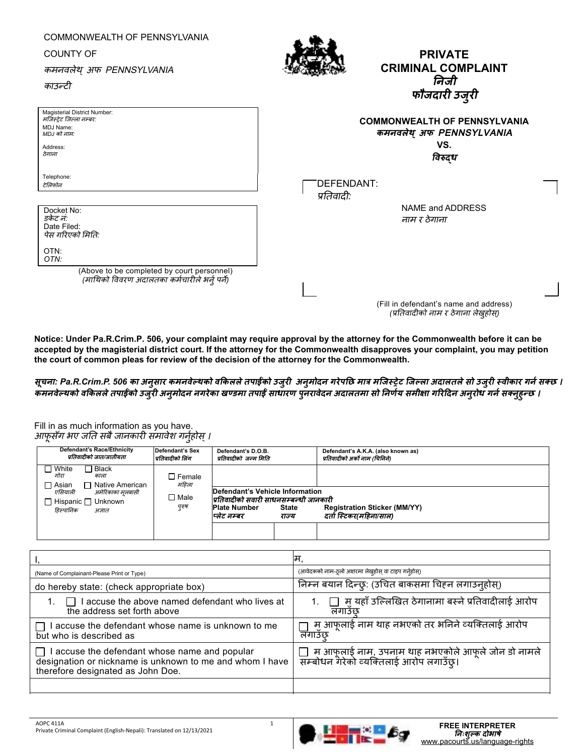| COMMONWEALTH OF PENNSYLVANIA<br><b>COUNTY OF</b><br>कमनवलेथ् अफ PENNSYLVANIA<br>काउन्टी                    | <b>PRIVATE</b><br><b>CRIMINAL COMPLAINT</b><br>निजी<br>फौजदारी उजुरी              |
|------------------------------------------------------------------------------------------------------------|-----------------------------------------------------------------------------------|
| Magisterial District Number:<br>मर्जिस्टेट जिल्ला नम्बर:<br>MDJ Name:<br>MDJ को नाम:<br>Address:<br>ठेगाना | <b>COMMONWEALTH OF PENNSYLVANIA</b><br>कमनवलेथ् अफ PENNSYLVANIA<br>VS.<br>विरुद्ध |
| Telephone:<br>टेलिफोन<br>Docket No:<br>डकेट नं:<br>Date Filed:<br>पेस गरिएको मिति:<br>OTN:                 | DEFENDANT:<br>प्रतिवादी:<br>NAME and ADDRESS<br>नाम र ठेगाना                      |
| OTN:<br>(Above to be completed by court personnel)<br>(माथिको विवरण अंदालतका कर्मचारीले भर्न् पर्ने)       | (Fill in defendant's name and address)<br>(प्रतिवादीको नाम र ठेगाना लेख़होस)      |

**Notice: Under Pa.R.Crim.P. 506, your complaint may require approval by the attorney for the Commonwealth before it can be accepted by the magisterial district court. If the attorney for the Commonwealth disapproves your complaint, you may petition the court of common pleas for review of the decision of the attorney for the Commonwealth.** 

सूचना: Pa.R.Crim.P. 506 का अनुसार कमनवेल्थको वकिलले तपाईको उजुरी अनुमोदन गरेपछि मात्र मजिस्ट्रेट जिल्ला अदालतले सो उजुरी स्वीकार गर्न सक्छ । कमनवेल्थको वकिलले तपाईको उजुरी अनुमोदन नगरेका खण्डमा तपाई साधारण पुनरावेदन अदालतमा सो निर्णय समीक्षा गरिदिन अनुरोध गर्न सक्नुहुन्छ ।

Fill in as much information as you have. आफूसँग भए जति सबै जानकारी समावेश गर्नुहोस् ।

| Defendant's Race/Ethnicity<br>प्रतिवादीको जात/जातीयता                                              | Defendant's Sex<br>प्रतिवादीको लिंग                                                                                                                     | Defendant's D.O.B.<br>प्रतिवादीको जन्म मिति |       | Defendant's A.K.A. (also known as)<br>प्रतिवादीको अर्को नाम (चिनिने) |
|----------------------------------------------------------------------------------------------------|---------------------------------------------------------------------------------------------------------------------------------------------------------|---------------------------------------------|-------|----------------------------------------------------------------------|
| ヿ Black<br>White<br>गोरा<br>काला<br>□ Asian<br>ヿ Native American                                   | $\square$ Female<br>महिला                                                                                                                               |                                             |       |                                                                      |
| एसियाली<br>अमेरिकाका मलबासी<br>⊟ Male<br><b>Hispanic</b> □ Unknown<br>पुरुष<br>हिस्पानिक<br>अज्ञात | Defendant's Vehicle Information<br>प्रतिवादीको सवारी साधनसम्बन्धी जानकारी<br><b>Plate Number</b><br><b>Registration Sticker (MM/YY)</b><br><b>State</b> |                                             |       |                                                                      |
|                                                                                                    |                                                                                                                                                         | प्लेट नम्बर                                 | राज्य | दर्ता स्टिकर(महिना/साल)                                              |

|                                                                                                                                                           | म,                                                                                                |
|-----------------------------------------------------------------------------------------------------------------------------------------------------------|---------------------------------------------------------------------------------------------------|
| (Name of Complainant-Please Print or Type)                                                                                                                | (आवेदकको नाम-ठूलो अक्षरमा लेखूहोस् वा टाइप गर्नुहोस्)                                             |
| do hereby state: (check appropriate box)                                                                                                                  | निम्न बयान दिन्छ्: (उचित बाकसमा चिहन लगाउन्होस्)                                                  |
| I accuse the above named defendant who lives at<br>$\Box$<br>the address set forth above                                                                  | मु यहाँ उल्लिखित ठेगानामा बस्ने प्रतिवादीलाई आरोप<br>लगाउछ                                        |
| accuse the defendant whose name is unknown to me<br>but who is described as                                                                               | मु आफूलाई नाम थाह नभएको तर भनिने व्यक्तिलाई आरोप<br>लगाउछ                                         |
| I accuse the defendant whose name and popular<br>$\perp$<br>designation or nickname is unknown to me and whom I have<br>therefore designated as John Doe. | ॒]  म आफ्लाई नाम, उपनाम थाह नभएकोले आफूले जोन डो नामले<br>सम्बोधन गेरेको व्यक्तिलाई आरोप लगाउँछ्। |
|                                                                                                                                                           |                                                                                                   |